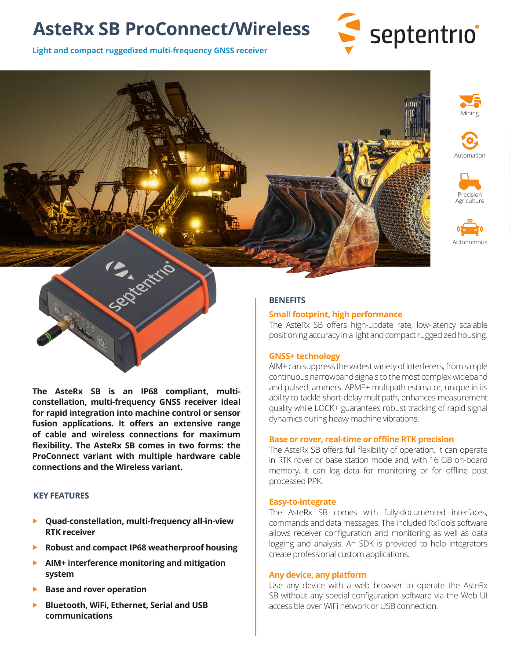## **AsteRx SB ProConnect/Wireless**



**Light and compact ruggedized multi-frequency GNSS receiver**









**The AsteRx SB is an IP68 compliant, multiconstellation, multi-frequency GNSS receiver ideal for rapid integration into machine control or sensor fusion applications. It offers an extensive range of cable and wireless connections for maximum flexibility. The AsteRx SB comes in two forms: the ProConnect variant with multiple hardware cable connections and the Wireless variant.**

#### **KEY FEATURES**

- **Quad-constellation, multi-frequency all-in-view RTK receiver**
- **Robust and compact IP68 weatherproof housing**
- **AIM+ interference monitoring and mitigation system**
- **Base and rover operation**
- **Bluetooth, WiFi, Ethernet, Serial and USB communications**

#### **BENEFITS**

#### **Small footprint, high performance**

The AsteRx SB offers high-update rate, low-latency scalable positioning accuracy in a light and compact ruggedized housing.

#### **GNSS+ technology**

AIM+ can suppress the widest variety of interferers, from simple continuous narrowband signals to the most complex wideband and pulsed jammers. APME+ multipath estimator, unique in its ability to tackle short-delay multipath, enhances measurement quality while LOCK+ guarantees robust tracking of rapid signal dynamics during heavy machine vibrations.

#### **Base or rover, real-time or offline RTK precision**

The AsteRx SB offers full flexibility of operation. It can operate in RTK rover or base station mode and, with 16 GB on-board memory, it can log data for monitoring or for offline post processed PPK.

#### **Easy-to-integrate**

The AsteRx SB comes with fully-documented interfaces, commands and data messages. The included RxTools software allows receiver configuration and monitoring as well as data logging and analysis. An SDK is provided to help integrators create professional custom applications.

#### **Any device, any platform**

Use any device with a web browser to operate the AsteRx SB without any special configuration software via the Web UI accessible over WiFi network or USB connection.